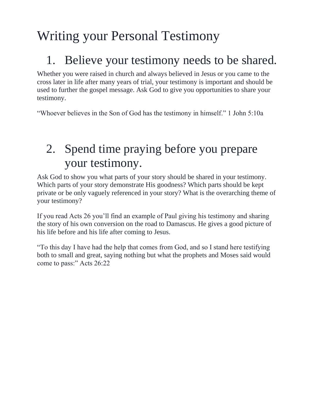# Writing your Personal Testimony

#### 1. Believe your testimony needs to be shared.

Whether you were raised in church and always believed in Jesus or you came to the cross later in life after many years of trial, your testimony is important and should be used to further the gospel message. Ask God to give you opportunities to share your testimony.

"Whoever believes in the Son of God has the testimony in himself." 1 John 5:10a

#### 2. Spend time praying before you prepare your testimony.

Ask God to show you what parts of your story should be shared in your testimony. Which parts of your story demonstrate His goodness? Which parts should be kept private or be only vaguely referenced in your story? What is the overarching theme of your testimony?

If you read Acts 26 you'll find an example of Paul giving his testimony and sharing the story of his own conversion on the road to Damascus. He gives a good picture of his life before and his life after coming to Jesus.

"To this day I have had the help that comes from God, and so I stand here testifying both to small and great, saying nothing but what the prophets and Moses said would come to pass:" Acts 26:22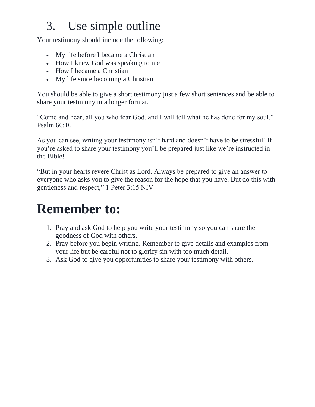### 3. Use simple outline

Your testimony should include the following:

- My life before I became a Christian
- How I knew God was speaking to me
- How I became a Christian
- My life since becoming a Christian

You should be able to give a short testimony just a few short sentences and be able to share your testimony in a longer format.

"Come and hear, all you who fear God, and I will tell what he has done for my soul." Psalm 66:16

As you can see, writing your testimony isn't hard and doesn't have to be stressful! If you're asked to share your testimony you'll be prepared just like we're instructed in the Bible!

"But in your hearts revere Christ as Lord. Always be prepared to give an answer to everyone who asks you to give the reason for the hope that you have. But do this with gentleness and respect," 1 Peter 3:15 NIV

## **Remember to:**

- 1. Pray and ask God to help you write your testimony so you can share the goodness of God with others.
- 2. Pray before you begin writing. Remember to give details and examples from your life but be careful not to glorify sin with too much detail.
- 3. Ask God to give you opportunities to share your testimony with others.